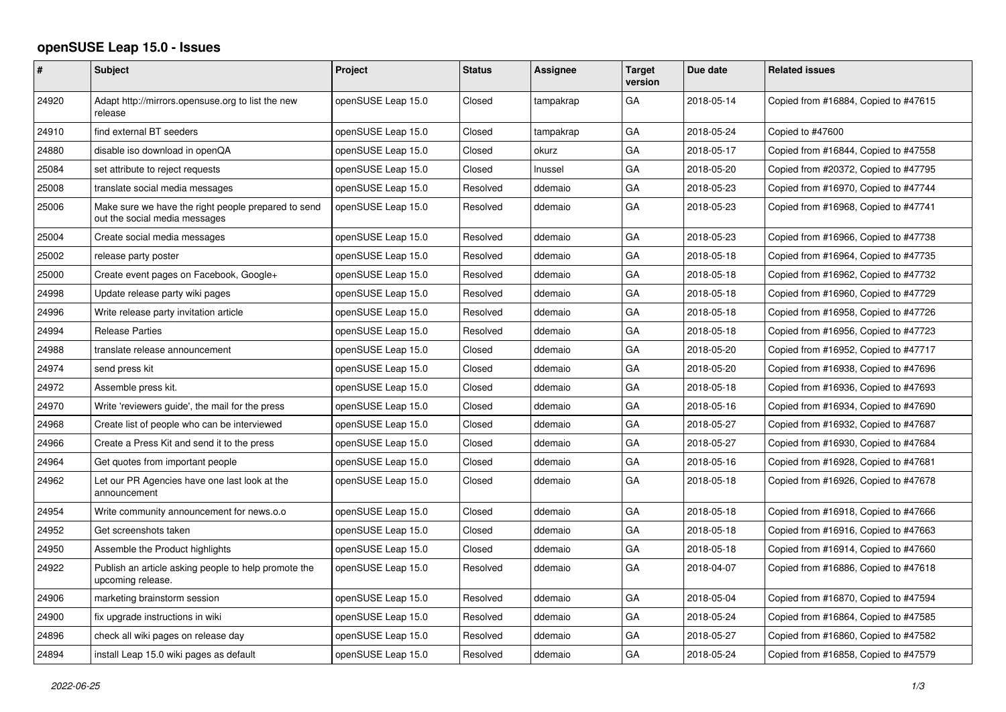## **openSUSE Leap 15.0 - Issues**

| #     | <b>Subject</b>                                                                       | Project            | <b>Status</b> | Assignee  | <b>Target</b><br>version | Due date   | <b>Related issues</b>                |
|-------|--------------------------------------------------------------------------------------|--------------------|---------------|-----------|--------------------------|------------|--------------------------------------|
| 24920 | Adapt http://mirrors.opensuse.org to list the new<br>release                         | openSUSE Leap 15.0 | Closed        | tampakrap | GA                       | 2018-05-14 | Copied from #16884, Copied to #47615 |
| 24910 | find external BT seeders                                                             | openSUSE Leap 15.0 | Closed        | tampakrap | GA                       | 2018-05-24 | Copied to #47600                     |
| 24880 | disable iso download in openQA                                                       | openSUSE Leap 15.0 | Closed        | okurz     | GA                       | 2018-05-17 | Copied from #16844, Copied to #47558 |
| 25084 | set attribute to reject requests                                                     | openSUSE Leap 15.0 | Closed        | Inussel   | GA                       | 2018-05-20 | Copied from #20372, Copied to #47795 |
| 25008 | translate social media messages                                                      | openSUSE Leap 15.0 | Resolved      | ddemaio   | GA                       | 2018-05-23 | Copied from #16970, Copied to #47744 |
| 25006 | Make sure we have the right people prepared to send<br>out the social media messages | openSUSE Leap 15.0 | Resolved      | ddemaio   | GA                       | 2018-05-23 | Copied from #16968, Copied to #47741 |
| 25004 | Create social media messages                                                         | openSUSE Leap 15.0 | Resolved      | ddemaio   | GA                       | 2018-05-23 | Copied from #16966, Copied to #47738 |
| 25002 | release party poster                                                                 | openSUSE Leap 15.0 | Resolved      | ddemaio   | GA                       | 2018-05-18 | Copied from #16964, Copied to #47735 |
| 25000 | Create event pages on Facebook, Google+                                              | openSUSE Leap 15.0 | Resolved      | ddemaio   | GA                       | 2018-05-18 | Copied from #16962, Copied to #47732 |
| 24998 | Update release party wiki pages                                                      | openSUSE Leap 15.0 | Resolved      | ddemaio   | GA                       | 2018-05-18 | Copied from #16960, Copied to #47729 |
| 24996 | Write release party invitation article                                               | openSUSE Leap 15.0 | Resolved      | ddemaio   | GA                       | 2018-05-18 | Copied from #16958, Copied to #47726 |
| 24994 | <b>Release Parties</b>                                                               | openSUSE Leap 15.0 | Resolved      | ddemaio   | GA                       | 2018-05-18 | Copied from #16956, Copied to #47723 |
| 24988 | translate release announcement                                                       | openSUSE Leap 15.0 | Closed        | ddemaio   | GA                       | 2018-05-20 | Copied from #16952, Copied to #47717 |
| 24974 | send press kit                                                                       | openSUSE Leap 15.0 | Closed        | ddemaio   | GA                       | 2018-05-20 | Copied from #16938, Copied to #47696 |
| 24972 | Assemble press kit.                                                                  | openSUSE Leap 15.0 | Closed        | ddemaio   | GA                       | 2018-05-18 | Copied from #16936, Copied to #47693 |
| 24970 | Write 'reviewers guide', the mail for the press                                      | openSUSE Leap 15.0 | Closed        | ddemaio   | GA                       | 2018-05-16 | Copied from #16934, Copied to #47690 |
| 24968 | Create list of people who can be interviewed                                         | openSUSE Leap 15.0 | Closed        | ddemaio   | GA                       | 2018-05-27 | Copied from #16932, Copied to #47687 |
| 24966 | Create a Press Kit and send it to the press                                          | openSUSE Leap 15.0 | Closed        | ddemaio   | GA                       | 2018-05-27 | Copied from #16930, Copied to #47684 |
| 24964 | Get quotes from important people                                                     | openSUSE Leap 15.0 | Closed        | ddemaio   | GA                       | 2018-05-16 | Copied from #16928, Copied to #47681 |
| 24962 | Let our PR Agencies have one last look at the<br>announcement                        | openSUSE Leap 15.0 | Closed        | ddemaio   | GA                       | 2018-05-18 | Copied from #16926, Copied to #47678 |
| 24954 | Write community announcement for news.o.o                                            | openSUSE Leap 15.0 | Closed        | ddemaio   | GA                       | 2018-05-18 | Copied from #16918, Copied to #47666 |
| 24952 | Get screenshots taken                                                                | openSUSE Leap 15.0 | Closed        | ddemaio   | GA                       | 2018-05-18 | Copied from #16916, Copied to #47663 |
| 24950 | Assemble the Product highlights                                                      | openSUSE Leap 15.0 | Closed        | ddemaio   | GA                       | 2018-05-18 | Copied from #16914, Copied to #47660 |
| 24922 | Publish an article asking people to help promote the<br>upcoming release.            | openSUSE Leap 15.0 | Resolved      | ddemaio   | GA                       | 2018-04-07 | Copied from #16886, Copied to #47618 |
| 24906 | marketing brainstorm session                                                         | openSUSE Leap 15.0 | Resolved      | ddemaio   | GA                       | 2018-05-04 | Copied from #16870, Copied to #47594 |
| 24900 | fix upgrade instructions in wiki                                                     | openSUSE Leap 15.0 | Resolved      | ddemaio   | GA                       | 2018-05-24 | Copied from #16864, Copied to #47585 |
| 24896 | check all wiki pages on release day                                                  | openSUSE Leap 15.0 | Resolved      | ddemaio   | GA                       | 2018-05-27 | Copied from #16860, Copied to #47582 |
| 24894 | install Leap 15.0 wiki pages as default                                              | openSUSE Leap 15.0 | Resolved      | ddemaio   | GA                       | 2018-05-24 | Copied from #16858, Copied to #47579 |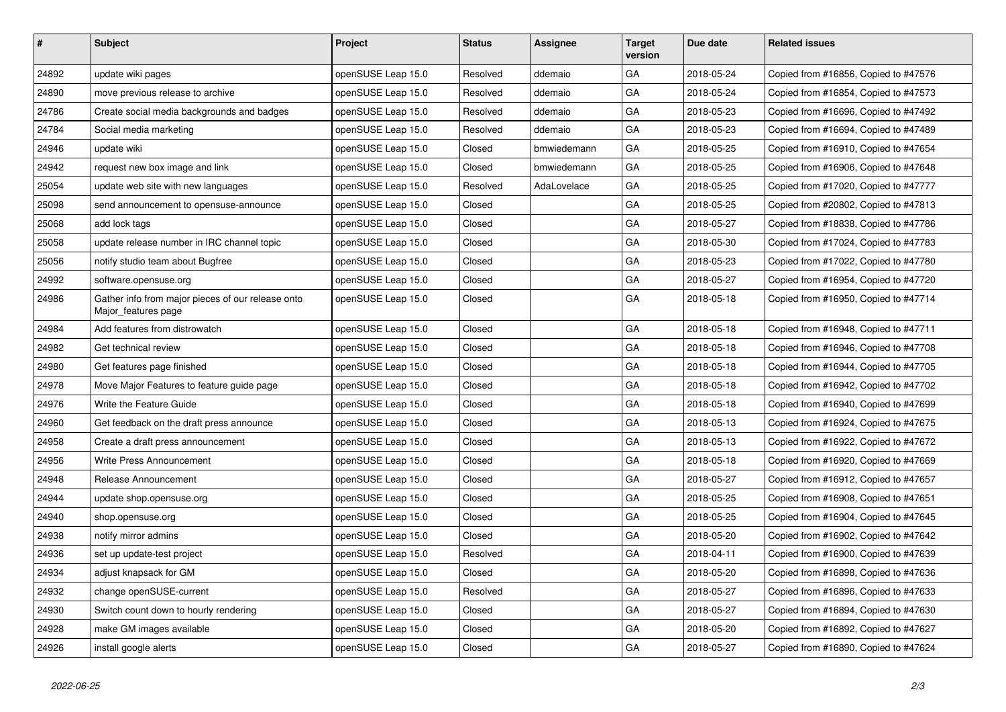| $\vert$ # | <b>Subject</b>                                                           | Project            | <b>Status</b> | <b>Assignee</b> | <b>Target</b><br>version | Due date   | <b>Related issues</b>                |
|-----------|--------------------------------------------------------------------------|--------------------|---------------|-----------------|--------------------------|------------|--------------------------------------|
| 24892     | update wiki pages                                                        | openSUSE Leap 15.0 | Resolved      | ddemaio         | GA                       | 2018-05-24 | Copied from #16856, Copied to #47576 |
| 24890     | move previous release to archive                                         | openSUSE Leap 15.0 | Resolved      | ddemaio         | GA                       | 2018-05-24 | Copied from #16854, Copied to #47573 |
| 24786     | Create social media backgrounds and badges                               | openSUSE Leap 15.0 | Resolved      | ddemaio         | GA                       | 2018-05-23 | Copied from #16696, Copied to #47492 |
| 24784     | Social media marketing                                                   | openSUSE Leap 15.0 | Resolved      | ddemaio         | GA                       | 2018-05-23 | Copied from #16694, Copied to #47489 |
| 24946     | update wiki                                                              | openSUSE Leap 15.0 | Closed        | bmwiedemann     | GA                       | 2018-05-25 | Copied from #16910, Copied to #47654 |
| 24942     | request new box image and link                                           | openSUSE Leap 15.0 | Closed        | bmwiedemann     | GA                       | 2018-05-25 | Copied from #16906, Copied to #47648 |
| 25054     | update web site with new languages                                       | openSUSE Leap 15.0 | Resolved      | AdaLovelace     | GA                       | 2018-05-25 | Copied from #17020, Copied to #47777 |
| 25098     | send announcement to opensuse-announce                                   | openSUSE Leap 15.0 | Closed        |                 | GA                       | 2018-05-25 | Copied from #20802, Copied to #47813 |
| 25068     | add lock tags                                                            | openSUSE Leap 15.0 | Closed        |                 | GA                       | 2018-05-27 | Copied from #18838, Copied to #47786 |
| 25058     | update release number in IRC channel topic                               | openSUSE Leap 15.0 | Closed        |                 | GA                       | 2018-05-30 | Copied from #17024, Copied to #47783 |
| 25056     | notify studio team about Bugfree                                         | openSUSE Leap 15.0 | Closed        |                 | GA                       | 2018-05-23 | Copied from #17022, Copied to #47780 |
| 24992     | software.opensuse.org                                                    | openSUSE Leap 15.0 | Closed        |                 | GA                       | 2018-05-27 | Copied from #16954, Copied to #47720 |
| 24986     | Gather info from major pieces of our release onto<br>Major_features page | openSUSE Leap 15.0 | Closed        |                 | GA                       | 2018-05-18 | Copied from #16950, Copied to #47714 |
| 24984     | Add features from distrowatch                                            | openSUSE Leap 15.0 | Closed        |                 | GA                       | 2018-05-18 | Copied from #16948, Copied to #47711 |
| 24982     | Get technical review                                                     | openSUSE Leap 15.0 | Closed        |                 | GA                       | 2018-05-18 | Copied from #16946, Copied to #47708 |
| 24980     | Get features page finished                                               | openSUSE Leap 15.0 | Closed        |                 | GA                       | 2018-05-18 | Copied from #16944, Copied to #47705 |
| 24978     | Move Major Features to feature guide page                                | openSUSE Leap 15.0 | Closed        |                 | GA                       | 2018-05-18 | Copied from #16942, Copied to #47702 |
| 24976     | Write the Feature Guide                                                  | openSUSE Leap 15.0 | Closed        |                 | GA                       | 2018-05-18 | Copied from #16940, Copied to #47699 |
| 24960     | Get feedback on the draft press announce                                 | openSUSE Leap 15.0 | Closed        |                 | GA                       | 2018-05-13 | Copied from #16924, Copied to #47675 |
| 24958     | Create a draft press announcement                                        | openSUSE Leap 15.0 | Closed        |                 | GA                       | 2018-05-13 | Copied from #16922, Copied to #47672 |
| 24956     | Write Press Announcement                                                 | openSUSE Leap 15.0 | Closed        |                 | GA                       | 2018-05-18 | Copied from #16920, Copied to #47669 |
| 24948     | Release Announcement                                                     | openSUSE Leap 15.0 | Closed        |                 | GA                       | 2018-05-27 | Copied from #16912, Copied to #47657 |
| 24944     | update shop.opensuse.org                                                 | openSUSE Leap 15.0 | Closed        |                 | GA                       | 2018-05-25 | Copied from #16908, Copied to #47651 |
| 24940     | shop.opensuse.org                                                        | openSUSE Leap 15.0 | Closed        |                 | GA                       | 2018-05-25 | Copied from #16904, Copied to #47645 |
| 24938     | notify mirror admins                                                     | openSUSE Leap 15.0 | Closed        |                 | GA                       | 2018-05-20 | Copied from #16902, Copied to #47642 |
| 24936     | set up update-test project                                               | openSUSE Leap 15.0 | Resolved      |                 | GA                       | 2018-04-11 | Copied from #16900, Copied to #47639 |
| 24934     | adjust knapsack for GM                                                   | openSUSE Leap 15.0 | Closed        |                 | GA                       | 2018-05-20 | Copied from #16898, Copied to #47636 |
| 24932     | change openSUSE-current                                                  | openSUSE Leap 15.0 | Resolved      |                 | GA                       | 2018-05-27 | Copied from #16896, Copied to #47633 |
| 24930     | Switch count down to hourly rendering                                    | openSUSE Leap 15.0 | Closed        |                 | GA                       | 2018-05-27 | Copied from #16894, Copied to #47630 |
| 24928     | make GM images available                                                 | openSUSE Leap 15.0 | Closed        |                 | GA                       | 2018-05-20 | Copied from #16892, Copied to #47627 |
| 24926     | install google alerts                                                    | openSUSE Leap 15.0 | Closed        |                 | GA                       | 2018-05-27 | Copied from #16890, Copied to #47624 |